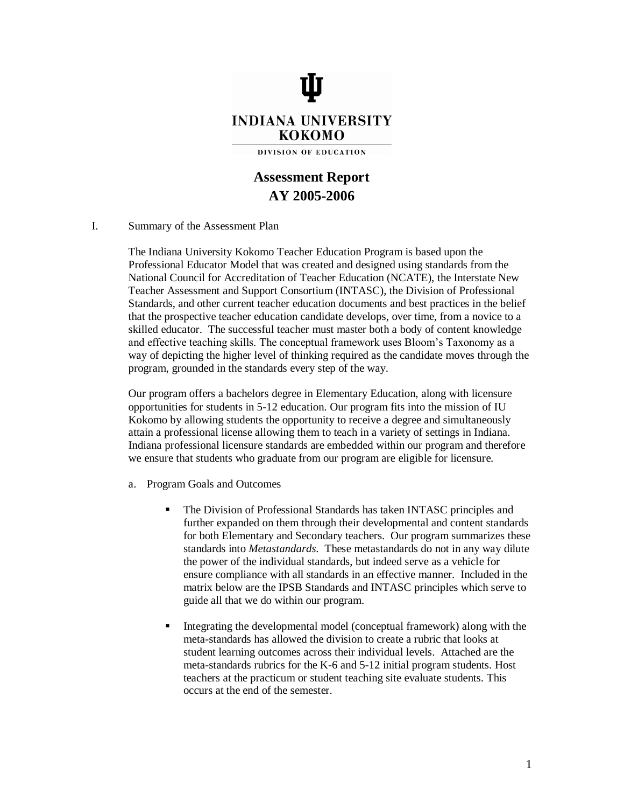

## **Assessment Report AY 2005-2006**

## I. Summary of the Assessment Plan

The Indiana University Kokomo Teacher Education Program is based upon the Professional Educator Model that was created and designed using standards from the National Council for Accreditation of Teacher Education (NCATE), the Interstate New Teacher Assessment and Support Consortium (INTASC), the Division of Professional Standards, and other current teacher education documents and best practices in the belief that the prospective teacher education candidate develops, over time, from a novice to a skilled educator. The successful teacher must master both a body of content knowledge and effective teaching skills. The conceptual framework uses Bloom's Taxonomy as a way of depicting the higher level of thinking required as the candidate moves through the program, grounded in the standards every step of the way.

Our program offers a bachelors degree in Elementary Education, along with licensure opportunities for students in 5-12 education. Our program fits into the mission of IU Kokomo by allowing students the opportunity to receive a degree and simultaneously attain a professional license allowing them to teach in a variety of settings in Indiana. Indiana professional licensure standards are embedded within our program and therefore we ensure that students who graduate from our program are eligible for licensure.

- a. Program Goals and Outcomes
	- The Division of Professional Standards has taken INTASC principles and further expanded on them through their developmental and content standards for both Elementary and Secondary teachers. Our program summarizes these standards into *Metastandards.* These metastandards do not in any way dilute the power of the individual standards, but indeed serve as a vehicle for ensure compliance with all standards in an effective manner. Included in the matrix below are the IPSB Standards and INTASC principles which serve to guide all that we do within our program.
	- Integrating the developmental model (conceptual framework) along with the meta-standards has allowed the division to create a rubric that looks at student learning outcomes across their individual levels. Attached are the meta-standards rubrics for the K-6 and 5-12 initial program students. Host teachers at the practicum or student teaching site evaluate students. This occurs at the end of the semester.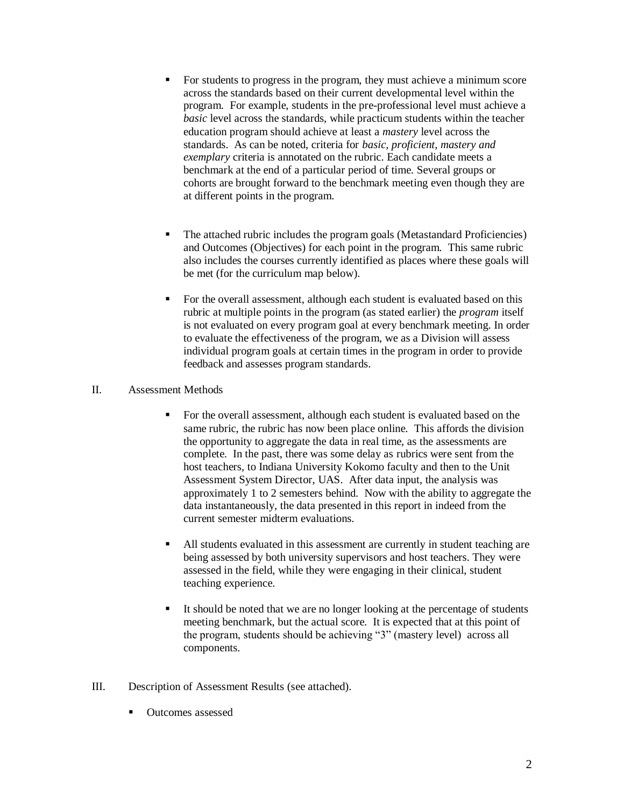- For students to progress in the program, they must achieve a minimum score across the standards based on their current developmental level within the program. For example, students in the pre-professional level must achieve a *basic* level across the standards, while practicum students within the teacher education program should achieve at least a *mastery* level across the standards. As can be noted, criteria for *basic, proficient, mastery and exemplary* criteria is annotated on the rubric. Each candidate meets a benchmark at the end of a particular period of time. Several groups or cohorts are brought forward to the benchmark meeting even though they are at different points in the program.
- The attached rubric includes the program goals (Metastandard Proficiencies) and Outcomes (Objectives) for each point in the program. This same rubric also includes the courses currently identified as places where these goals will be met (for the curriculum map below).
- For the overall assessment, although each student is evaluated based on this rubric at multiple points in the program (as stated earlier) the *program* itself is not evaluated on every program goal at every benchmark meeting. In order to evaluate the effectiveness of the program, we as a Division will assess individual program goals at certain times in the program in order to provide feedback and assesses program standards.

## II. Assessment Methods

- For the overall assessment, although each student is evaluated based on the same rubric, the rubric has now been place online. This affords the division the opportunity to aggregate the data in real time, as the assessments are complete. In the past, there was some delay as rubrics were sent from the host teachers, to Indiana University Kokomo faculty and then to the Unit Assessment System Director, UAS. After data input, the analysis was approximately 1 to 2 semesters behind. Now with the ability to aggregate the data instantaneously, the data presented in this report in indeed from the current semester midterm evaluations.
- All students evaluated in this assessment are currently in student teaching are being assessed by both university supervisors and host teachers. They were assessed in the field, while they were engaging in their clinical, student teaching experience.
- It should be noted that we are no longer looking at the percentage of students meeting benchmark, but the actual score. It is expected that at this point of the program, students should be achieving "3" (mastery level) across all components.
- III. Description of Assessment Results (see attached).
	- Outcomes assessed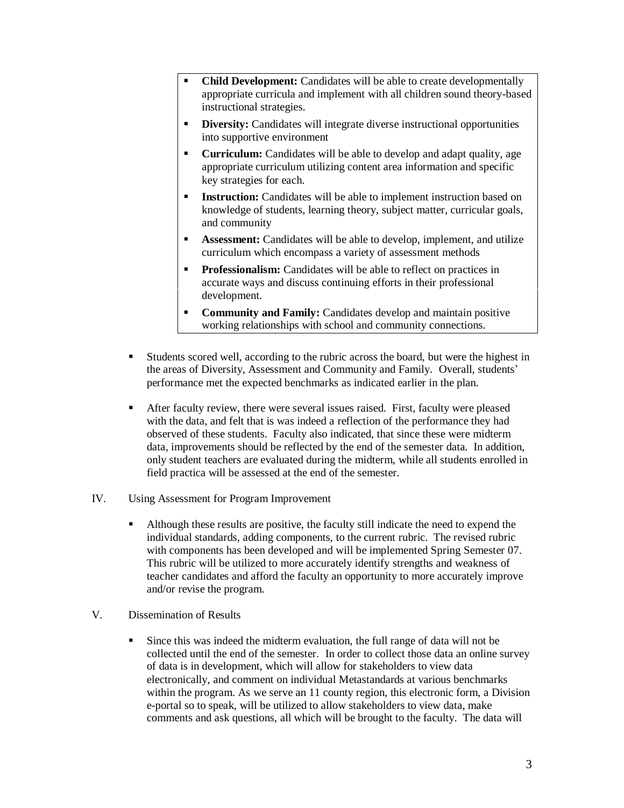- **Child Development:** Candidates will be able to create developmentally appropriate curricula and implement with all children sound theory-based instructional strategies.
- **Diversity:** Candidates will integrate diverse instructional opportunities into supportive environment
- **Curriculum:** Candidates will be able to develop and adapt quality, age appropriate curriculum utilizing content area information and specific key strategies for each.
- **Instruction:** Candidates will be able to implement instruction based on knowledge of students, learning theory, subject matter, curricular goals, and community
- **Assessment:** Candidates will be able to develop, implement, and utilize curriculum which encompass a variety of assessment methods
- **Professionalism:** Candidates will be able to reflect on practices in accurate ways and discuss continuing efforts in their professional development.
- **Community and Family:** Candidates develop and maintain positive working relationships with school and community connections.
- Students scored well, according to the rubric across the board, but were the highest in the areas of Diversity, Assessment and Community and Family. Overall, students' performance met the expected benchmarks as indicated earlier in the plan.
- After faculty review, there were several issues raised. First, faculty were pleased with the data, and felt that is was indeed a reflection of the performance they had observed of these students. Faculty also indicated, that since these were midterm data, improvements should be reflected by the end of the semester data. In addition, only student teachers are evaluated during the midterm, while all students enrolled in field practica will be assessed at the end of the semester.
- IV. Using Assessment for Program Improvement
	- Although these results are positive, the faculty still indicate the need to expend the individual standards, adding components, to the current rubric. The revised rubric with components has been developed and will be implemented Spring Semester 07. This rubric will be utilized to more accurately identify strengths and weakness of teacher candidates and afford the faculty an opportunity to more accurately improve and/or revise the program.
- V. Dissemination of Results
	- Since this was indeed the midterm evaluation, the full range of data will not be collected until the end of the semester. In order to collect those data an online survey of data is in development, which will allow for stakeholders to view data electronically, and comment on individual Metastandards at various benchmarks within the program. As we serve an 11 county region, this electronic form, a Division e-portal so to speak, will be utilized to allow stakeholders to view data, make comments and ask questions, all which will be brought to the faculty. The data will